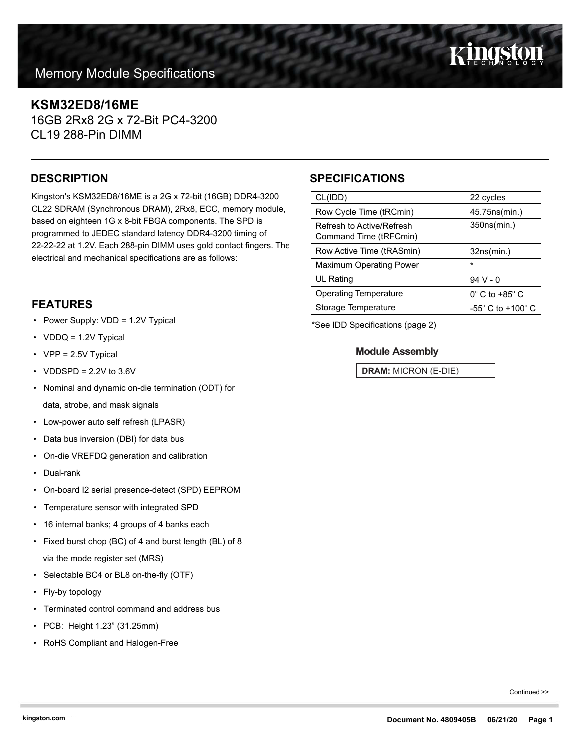# **KSM32ED8/16ME**

16GB 2Rx8 2G x 72-Bit PC4-3200 CL19 288-Pin DIMM

Kingston's KSM32ED8/16ME is a 2G x 72-bit (16GB) DDR4-3200 CL22 SDRAM (Synchronous DRAM), 2Rx8, ECC, memory module, based on eighteen 1G x 8-bit FBGA components. The SPD is programmed to JEDEC standard latency DDR4-3200 timing of 22-22-22 at 1.2V. Each 288-pin DIMM uses gold contact fingers. The electrical and mechanical specifications are as follows:

# **FEATURES**

- Power Supply: VDD = 1.2V Typical
- VDDQ = 1.2V Typical
- VPP = 2.5V Typical
- VDDSPD =  $2.2V$  to  $3.6V$
- Nominal and dynamic on-die termination (ODT) for data, strobe, and mask signals
- Low-power auto self refresh (LPASR)
- Data bus inversion (DBI) for data bus
- On-die VREFDQ generation and calibration
- Dual-rank
- On-board I2 serial presence-detect (SPD) EEPROM
- Temperature sensor with integrated SPD
- 16 internal banks; 4 groups of 4 banks each
- Fixed burst chop (BC) of 4 and burst length (BL) of 8 via the mode register set (MRS)
- Selectable BC4 or BL8 on-the-fly (OTF)
- Fly-by topology
- Terminated control command and address bus
- PCB: Height 1.23" (31.25mm)
- RoHS Compliant and Halogen-Free

# **DESCRIPTION SPECIFICATIONS**

| CL(IDD)                                             | 22 cycles                           |  |
|-----------------------------------------------------|-------------------------------------|--|
| Row Cycle Time (tRCmin)                             | 45.75 ns (min.)                     |  |
| Refresh to Active/Refresh<br>Command Time (tRFCmin) | 350ns(min.)                         |  |
| Row Active Time (tRASmin)                           | 32ns(min.)                          |  |
| <b>Maximum Operating Power</b>                      | $\star$                             |  |
| UL Rating                                           | $94V - 0$                           |  |
| <b>Operating Temperature</b>                        | $0^\circ$ C to +85 $^\circ$ C       |  |
| Storage Temperature                                 | $-55^{\circ}$ C to $+100^{\circ}$ C |  |
|                                                     |                                     |  |

\*See IDD Specifications (page 2)

### **Module Assembly**

**DRAM:** MICRON (E-DIE)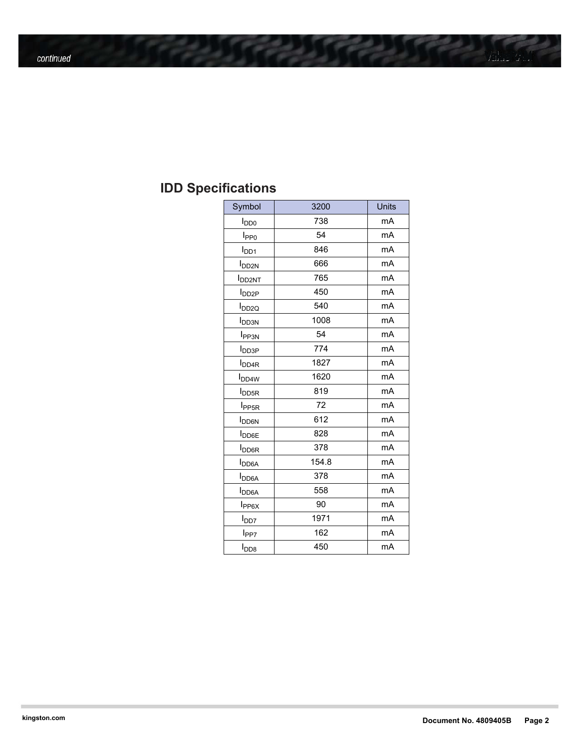# **IDD Specifications**

| Symbol                   | 3200  | Units |
|--------------------------|-------|-------|
| $I_{DD0}$                | 738   | mA    |
| I <sub>PP0</sub>         | 54    | mA    |
| $I_{DD1}$                | 846   | mA    |
| I <sub>DD2N</sub>        | 666   | mA    |
| <b>I</b> DD2NT           | 765   | mA    |
| <b>I</b> <sub>DD2P</sub> | 450   | mA    |
| <b>I</b> <sub>DD2Q</sub> | 540   | mA    |
| <b>I</b> <sub>DD3N</sub> | 1008  | mA    |
| <b>I</b> PP3N            | 54    | mA    |
| <b>I</b> <sub>DD3P</sub> | 774   | mA    |
| <b>I</b> <sub>DD4R</sub> | 1827  | mA    |
| <b>I</b> <sub>DD4W</sub> | 1620  | mA    |
| <b>I</b> <sub>DD5R</sub> | 819   | mA    |
| I <sub>PP5R</sub>        | 72    | mA    |
| <b>I</b> DD6N            | 612   | mA    |
| <b>I</b> DD6E            | 828   | mA    |
| I <sub>DO6R</sub>        | 378   | mA    |
| $I_{DD6A}$               | 154.8 | mA    |
| $I_{DD6A}$               | 378   | mA    |
| $I_{DD6A}$               | 558   | mA    |
| $I_{PP6X}$               | 90    | mA    |
| l <sub>DD7</sub>         | 1971  | mA    |
| l <sub>PP7</sub>         | 162   | mA    |
| $I_{\text{DD8}}$         | 450   | mA    |